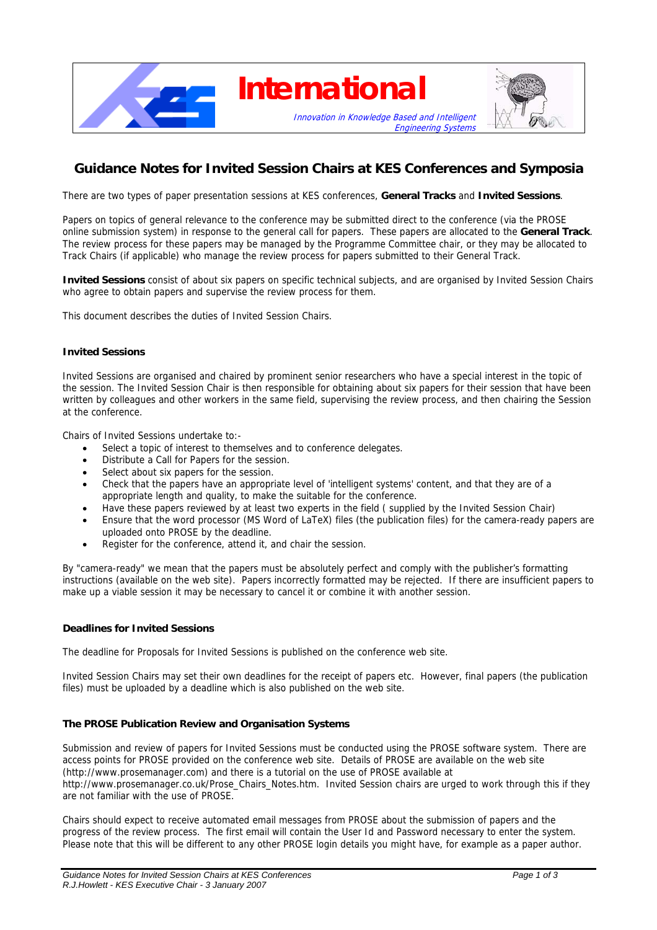

# **Guidance Notes for Invited Session Chairs at KES Conferences and Symposia**

There are two types of paper presentation sessions at KES conferences, **General Tracks** and **Invited Sessions**.

Papers on topics of general relevance to the conference may be submitted direct to the conference (via the PROSE online submission system) in response to the general call for papers. These papers are allocated to the **General Track**. The review process for these papers may be managed by the Programme Committee chair, or they may be allocated to Track Chairs (if applicable) who manage the review process for papers submitted to their General Track.

**Invited Sessions** consist of about six papers on specific technical subjects, and are organised by Invited Session Chairs who agree to obtain papers and supervise the review process for them.

This document describes the duties of Invited Session Chairs.

## **Invited Sessions**

Invited Sessions are organised and chaired by prominent senior researchers who have a special interest in the topic of the session. The Invited Session Chair is then responsible for obtaining about six papers for their session that have been written by colleagues and other workers in the same field, supervising the review process, and then chairing the Session at the conference.

Chairs of Invited Sessions undertake to:-

- Select a topic of interest to themselves and to conference delegates.
- Distribute a Call for Papers for the session.
- Select about six papers for the session.
- Check that the papers have an appropriate level of 'intelligent systems' content, and that they are of a appropriate length and quality, to make the suitable for the conference.
- Have these papers reviewed by at least two experts in the field ( supplied by the Invited Session Chair)
- Ensure that the word processor (MS Word of LaTeX) files (the publication files) for the camera-ready papers are uploaded onto PROSE by the deadline.
- Register for the conference, attend it, and chair the session.

By "camera-ready" we mean that the papers must be absolutely perfect and comply with the publisher's formatting instructions (available on the web site). Papers incorrectly formatted may be rejected. If there are insufficient papers to make up a viable session it may be necessary to cancel it or combine it with another session.

#### **Deadlines for Invited Sessions**

The deadline for Proposals for Invited Sessions is published on the conference web site.

Invited Session Chairs may set their own deadlines for the receipt of papers etc. However, final papers (the publication files) must be uploaded by a deadline which is also published on the web site.

#### **The PROSE Publication Review and Organisation Systems**

Submission and review of papers for Invited Sessions must be conducted using the PROSE software system. There are access points for PROSE provided on the conference web site. Details of PROSE are available on the web site (http://www.prosemanager.com) and there is a tutorial on the use of PROSE available at http://www.prosemanager.co.uk/Prose\_Chairs\_Notes.htm. Invited Session chairs are urged to work through this if they are not familiar with the use of PROSE.

Chairs should expect to receive automated email messages from PROSE about the submission of papers and the progress of the review process. The first email will contain the User Id and Password necessary to enter the system. Please note that this will be different to any other PROSE login details you might have, for example as a paper author.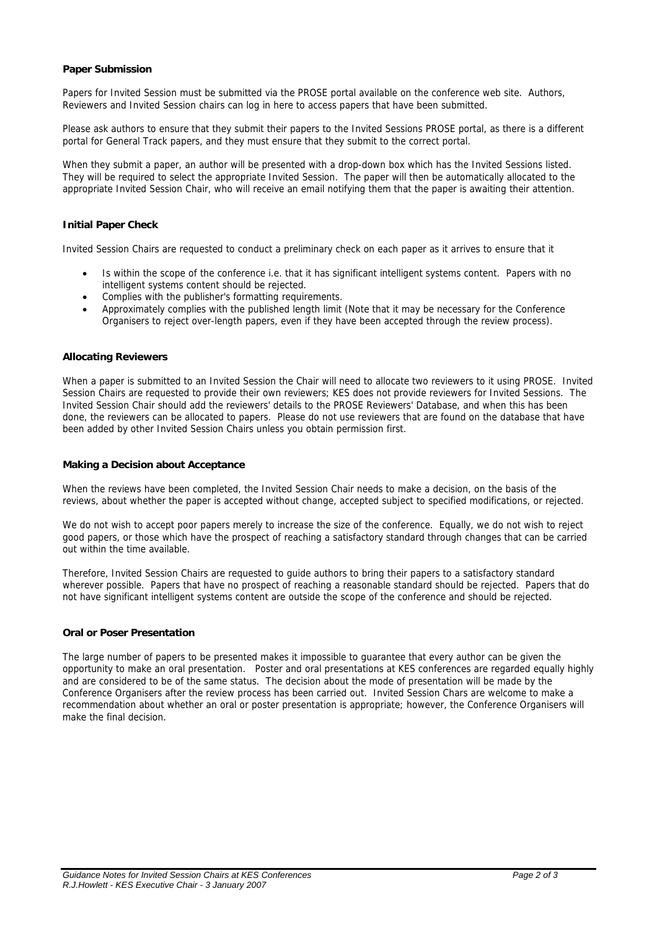## **Paper Submission**

Papers for Invited Session must be submitted via the PROSE portal available on the conference web site. Authors, Reviewers and Invited Session chairs can log in here to access papers that have been submitted.

Please ask authors to ensure that they submit their papers to the Invited Sessions PROSE portal, as there is a different portal for General Track papers, and they must ensure that they submit to the correct portal.

When they submit a paper, an author will be presented with a drop-down box which has the Invited Sessions listed. They will be required to select the appropriate Invited Session. The paper will then be automatically allocated to the appropriate Invited Session Chair, who will receive an email notifying them that the paper is awaiting their attention.

# **Initial Paper Check**

Invited Session Chairs are requested to conduct a preliminary check on each paper as it arrives to ensure that it

- Is within the scope of the conference i.e. that it has significant intelligent systems content. Papers with no intelligent systems content should be rejected.
- Complies with the publisher's formatting requirements.
- Approximately complies with the published length limit (Note that it may be necessary for the Conference Organisers to reject over-length papers, even if they have been accepted through the review process).

#### **Allocating Reviewers**

When a paper is submitted to an Invited Session the Chair will need to allocate two reviewers to it using PROSE. Invited Session Chairs are requested to provide their own reviewers; KES does not provide reviewers for Invited Sessions. The Invited Session Chair should add the reviewers' details to the PROSE Reviewers' Database, and when this has been done, the reviewers can be allocated to papers. Please do not use reviewers that are found on the database that have been added by other Invited Session Chairs unless you obtain permission first.

# **Making a Decision about Acceptance**

When the reviews have been completed, the Invited Session Chair needs to make a decision, on the basis of the reviews, about whether the paper is accepted without change, accepted subject to specified modifications, or rejected.

We do not wish to accept poor papers merely to increase the size of the conference. Equally, we do not wish to reject good papers, or those which have the prospect of reaching a satisfactory standard through changes that can be carried out within the time available.

Therefore, Invited Session Chairs are requested to guide authors to bring their papers to a satisfactory standard wherever possible. Papers that have no prospect of reaching a reasonable standard should be rejected. Papers that do not have significant intelligent systems content are outside the scope of the conference and should be rejected.

#### **Oral or Poser Presentation**

The large number of papers to be presented makes it impossible to guarantee that every author can be given the opportunity to make an oral presentation. Poster and oral presentations at KES conferences are regarded equally highly and are considered to be of the same status. The decision about the mode of presentation will be made by the Conference Organisers after the review process has been carried out. Invited Session Chars are welcome to make a recommendation about whether an oral or poster presentation is appropriate; however, the Conference Organisers will make the final decision.